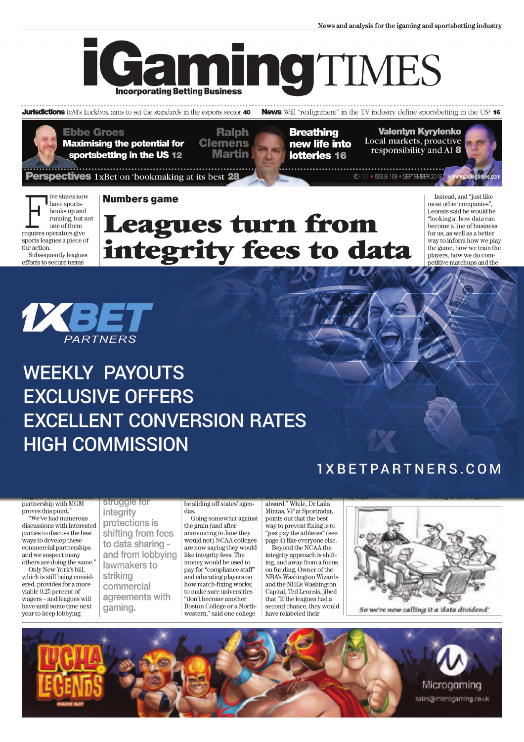News and analysis for the igaming and sportsbetting industry



**Jurisdictions** IoM's Luckbox aims to set the standards in the esports sector 40

**News** Will "realignment" in the TV industry define sportsbetting in the US? 16

**Ebbe Groes Maximising the potential for** sportsbetting in the US 12

**Ralph Clemens** Martin

**Breathing** new life into lotteries 16

**Valentyn Kyrylenko** Local markets, proactive responsibility and AI 8

(€8.30) · ISSUE 168 · SEPTEMBER 2018

ive states now have sportsbooks up and running, but not one of them requires operators give sports leagues a piece of the action. Subsequently leagues efforts to secure terms

#### **Numbers game**

**erspectives** 1xBet on 'bookmaking at its best 28

## **Leagues turn from<br>integrity fees to data**

Instead and "just like most other companies". Leonsis said he would be "looking at how data can become a line of business for us, as well as a better way to inform how we play the game, how we train the players, how we do competitive matchups and the



### **WEEKLY PAYOUTS EXCLUSIVE OFFERS EXCELLENT CONVERSION RATES HIGH COMMISSION**

#### 1XBETPARTNERS.COM

partnership with MGM proves this point.' "We've had numerous

 $\!$  discussions with interested parties to discuss the best ways to develop these commercial partnerships and we suspect many others are doing the same." Only New York's bill.

which is still being considered, provides for a more viable 0.25 percent of wagers - and leagues will have until some time next year to keep lobbying

struggle for integrity protections is shifting from fees to data sharing and from lobbying lawmakers to striking commercial agreements with gaming.

be sliding off states' agendas.

Going somewhat against the grain (and after announcing in June they would not) NCAA colleges are now saying they would like integrity fees. The money would be used to pay for "compliance staff" and educating players on how match-fixing works; to make sure universities don't become another Boston College or a Northwestern," said one college

absurd." While, Dr Laila Mintas, VP at Sportradar, points out that the best way to prevent fixing is to "just pay the athletes" (see page 4) like everyone else.

Beyond the NCAA the integrity approach is shifting, and away from a focus on funding. Owner of the NBA's Washington Wizards and the NHL's Washington Capital, Ted Leonsis, jibed that "If the leagues had a second chance, they would have relabeled their



So we're now calling it a 'data dividend'

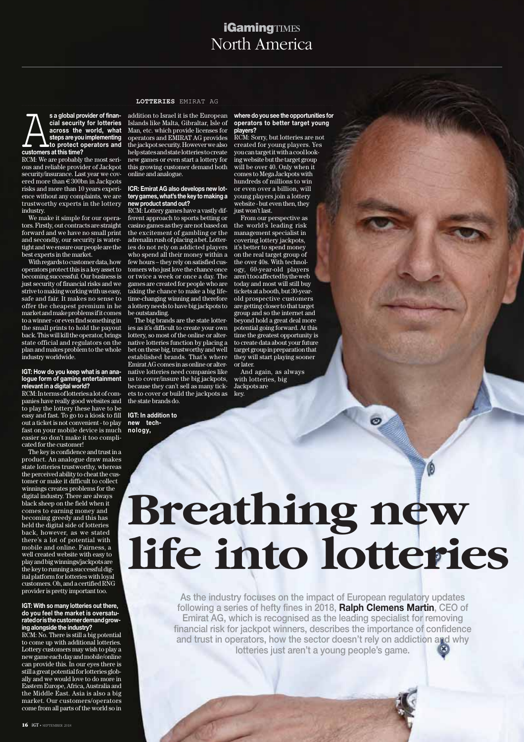#### North America **iGaming**TIMES

s a global provider of finan-<br>cial security for lotteries<br>across the world, what<br>to protect operators and **cial security for lotteries across the world, what steps are you implementing to protect operators and customers at this time?**

RCM: We are probably the most serious and reliable provider of Jackpot security/insurance. Last year we covered more than €300bn in Jackpots risks and more than 10 years experience without any complaints, we are trustworthy experts in the lottery industry.

We make it simple for our operators. Firstly, out contracts are straight forward and we have no small print and secondly, our security is watertight and we ensure our people are the best experts in the market.

With regards to customer data, how operators protect this is a key asset to becoming successful. Our business is just security of financial risks and we strive to making working with us easy, safe and fair. It makes no sense to offer the cheapest premium in he market and make problems if it comes to a winner - or even find something in the small prints to hold the payout back. This will kill the operator, brings state official and regulators on the plan and makes problem to the whole industry worldwide.

#### **IGT: How do you keep what is an analogue form of gaming entertainment**

**relevant in a digital world?** RCM: In terms of lotteries a lot of companies have really good websites and to play the lottery these have to be easy and fast. To go to a kiosk to fill out a ticket is not convenient - to play fast on your mobile device is much easier so don't make it too complicated for the customer!

The key is confidence and trust in a product. An analogue draw makes state lotteries trustworthy, whereas the perceived ability to cheat the customer or make it difficult to collect winnings creates problems for the digital industry. There are always black sheep on the field when it comes to earning money and becoming greedy and this has held the digital side of lotteries back, however, as we stated there's a lot of potential with mobile and online. Fairness, a well created website with easy to play and big winnings/jackpots are the key to running a successful digital platform for lotteries with loyal customers. Oh, and a certified RNG provider is pretty important too.

#### **IGT: With so many lotteries out there, do you feel the market is oversaturated or is the customer demand growing alongside the industry?**

RCM: No. There is still a big potential to come up with additional lotteries. Lottery customers may wish to play a new game each day and mobile/online can provide this. In our eyes there is still a great potential for lotteries globally and we would love to do more in Eastern Europe, Africa, Australia and the Middle East. Asia is also a big market. Our customers/operators come from all parts of the world so in

**LOTTERIES** EMIRAT AG

addition to Israel it is the European Islands like Malta, Gibraltar, Isle of Man, etc. which provide licenses for operators and EMIRAT AG provides the jackpot security. However we also help states and state lotteries to create new games or even start a lottery for this growing customer demand both online and analogue.

#### **ICR: Emirat AG also develops new lottery games, what's the key to making a new product stand out?**

RCM: Lottery games have a vastly different approach to sports betting or casino games as they are not based on the excitement of gambling or the adrenalin rush of placing a bet. Lotteries do not rely on addicted players who spend all their money within a few hours – they rely on satisfied customers who just love the chance once or twice a week or once a day. The games are created for people who are taking the chance to make a big lifetime-changing winning and therefore a lottery needs to have big jackpots to be outstanding.

The big brands are the state lotteries as it's difficult to create your own lottery, so most of the online or alternative lotteries function by placing a bet on these big, trustworthy and well established brands. That's where Emirat  $AG$  comes in as online or alternative lotteries need companies like us to cover/insure the big jackpots, because they can't sell as many tickets to cover or build the jackpots as the state brands do.

**IGT: In addition to new technology,**

#### **where do you see the opportunities for operators to better target young players?**

RCM: Sorry, but lotteries are not created for young players. Yes you can target it with a cool looking website but the target group will be over 40. Only when it comes to Mega Jackpots with hundreds of millions to win or even over a billion, will young players join a lottery website - but even then, they just won't last.

From our perspective as the world's leading risk management specialist in covering lottery jackpots, it's better to spend money on the real target group of the over 40s. With technology, 60-year-old players aren't too affected by the web today and most will still buy tickets at a booth, but 30-yearold prospective customers are getting closer to that target group and so the internet and beyond hold a great deal more potential going forward. At this time the greatest opportunity is to create data about your future target group in preparation that they will start playing sooner or later.

And again, as always with lotteries, big Jackpots are key.

# **Breathing new**

m

 $\circ$ 

**life industry focuses on the impact of European regulatory updates**<br>following a series of hefty fines in 2018, **Ralph Clemens Martin**, CEO of<br>Emirat AG, which is recognised as the leading specialist for removing **As the industry focuses on the impact of European regulatory updates Emirat AG, which is recognised as the leading specialist for removing financial risk for jackpot winners, describes the importance of confidence and trust in operators, how the sector doesn't rely on addiction and why lotteries just aren't a young people's game.**